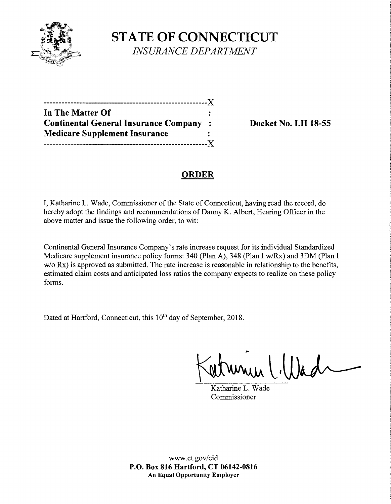

**STATE OF CONNECTICUT**  *INSURANCE DEPARTMENT* 

| In The Matter Of                             |              |
|----------------------------------------------|--------------|
| <b>Continental General Insurance Company</b> | $\mathbf{L}$ |
| <b>Medicare Supplement Insurance</b>         |              |
|                                              | - X -        |

**Continental General Insurance Company** : **Docket No. LH 18-55** 

# **ORDER**

I, Katharine L. Wade, Commissioner of the State of Connecticut, having read the record, do hereby adopt the findings and recommendations of Danny K. Albert, Hearing Officer in the above matter and issue the following order, to wit:

Continental General Insurance Company's rate increase request for its individual Standardized Medicare supplement insurance policy forms: 340 (Plan A), 348 (Plan I w/Rx) and 3DM (Plan I w/o Rx) is approved as submitted. The rate increase is reasonable in relationship to the benefits, estimated claim costs and anticipated loss ratios the company expects to realize on these policy forms.

Dated at Hartford, Connecticut, this 10<sup>th</sup> day of September, 2018.

mulillad

Katharine L. Wade Commissioner

www.ct.gov/cid **P.O. Box 816 Hartford, CT 06142-0816 An Equal Opportunity Employer**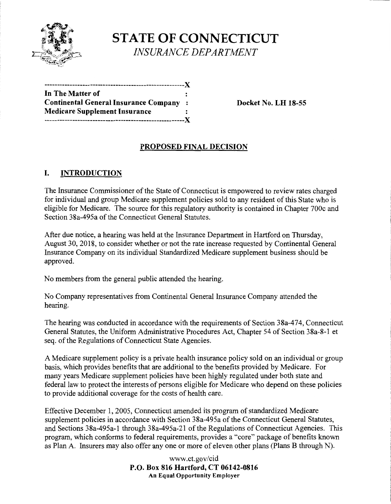

**STATE OF CONNECTICUT**  *INSURANCE DEPARTMENT* 

| In The Matter of                             |           |
|----------------------------------------------|-----------|
| <b>Continental General Insurance Company</b> | $\sim$ 1. |
| <b>Medicare Supplement Insurance</b>         |           |
| X                                            |           |

**Continental General Insurance Company** : **Docket No. LH 18-55** 

## **PROPOSED FINAL DECISION**

## I. **INTRODUCTION**

The Insurance Commissioner of the State of Connecticut is empowered to review rates charged for individual and group Medicare supplement policies sold to any resident of this State who is eligible for Medicare. The source for this regulatory authority is contained in Chapter 700c and Section 38a-495a of the Connecticut General Statutes.

After due notice, a hearing was held at the Insurance Department in Hartford on Thursday, August 30, 2018, to consider whether or not the rate increase requested by Continental General Insurance Company on its individual Standardized Medicare supplement business should be approved.

No members from the general public attended the hearing.

No Company representatives from Continental General Insurance Company attended the hearing.

The hearing was conducted in accordance with the requirements of Section 38a-474, Connecticut General Statutes, the Uniform Administrative Procedures Act, Chapter 54 of Section 38a-8-1 et seq. of the Regulations of Connecticut State Agencies.

A Medicare supplement policy is a private health insurance policy sold on an individual or group basis, which provides benefits that are additional to the benefits provided by Medicare. For many years Medicare supplement policies have been highly regulated under both state and federal law to protect the interests of persons eligible for Medicare who depend on these policies to provide additional coverage for the costs of health care.

Effective December 1, 2005, Connecticut amended its program of standardized Medicare supplement policies in accordance with Section 38a-495a of the Connecticut General Statutes, and Sections 38a-495a-1 through 38a-495a-21 of the Regulations of Connecticut Agencies. This program, which conforms to federal requirements, provides a "core" package of benefits known as Plan A. Insurers may also offer any one or more of eleven other plans (Plans B through N).

> www.ct.gov/cid **P.O. Box 816 Hartford, CT 06142-0816 An Equal Opportunity Employer**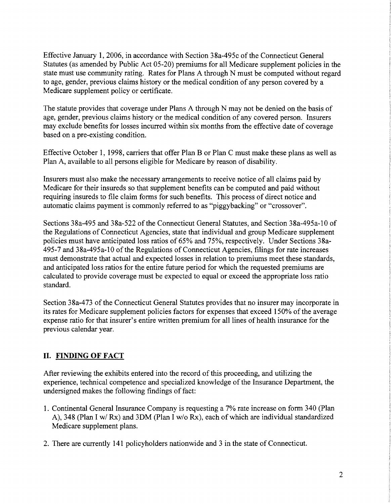Effective January 1, 2006, in accordance with Section 38a-495c of the Connecticut General Statutes (as amended by Public Act 05-20) premiums for all Medicare supplement policies in the state must use community rating. Rates for Plans A through N must be computed without regard to age, gender, previous claims history or the medical condition of any person covered by a Medicare supplement policy or certificate.

The statute provides that coverage under Plans A through N may not be denied on the basis of age, gender, previous claims history or the medical condition of any covered person. Insurers may exclude benefits for losses incurred within six months from the effective date of coverage based on a pre-existing condition.

Effective October 1, 1998, carriers that offer Plan B or Plan C must make these plans as well as Plan A, available to all persons eligible for Medicare by reason of disability.

Insurers must also make the necessary arrangements to receive notice of all claims paid by Medicare for their insureds so that supplement benefits can be computed and paid without requiring insureds to file claim forms for such benefits. This process of direct notice and automatic claims payment is commonly referred to as "piggybacking" or "crossover".

Sections 38a-495 and 38a-522 of the Connecticut General Statutes, and Section 38a-495a-10 of the Regulations of Connecticut Agencies, state that individual and group Medicare supplement policies must have anticipated loss ratios of 65% and 75%, respectively. Under Sections 38a-495-7 and 38a-495a-10 ofthe Regulations of Connecticut Agencies, filings for rate increases must demonstrate that actual and expected losses in relation to premiums meet these standards, and anticipated loss ratios for the entire future period for which the requested premiums are calculated to provide coverage must be expected to equal or exceed the appropriate loss ratio standard.

Section 38a-473 of the Connecticut General Statutes provides that no insurer may incorporate in its rates for Medicare supplement policies factors for expenses that exceed 150% of the average expense ratio for that insurer's entire written premium for all lines of health insurance for the previous calendar year.

## **II. FINDING OF FACT**

After reviewing the exhibits entered into the record of this proceeding, and utilizing the experience, technical competence and specialized knowledge of the Insurance Department, the undersigned makes the following findings of fact:

- 1. Continental General Insurance Company is requesting a 7% rate increase on form 340 (Plan A), 348 (Plan I w/ Rx) and 3DM (Plan I w/o Rx), each of which are individual standardized Medicare supplement plans.
- 2. There are currently 141 policyholders nationwide and 3 in the state of Connecticut.